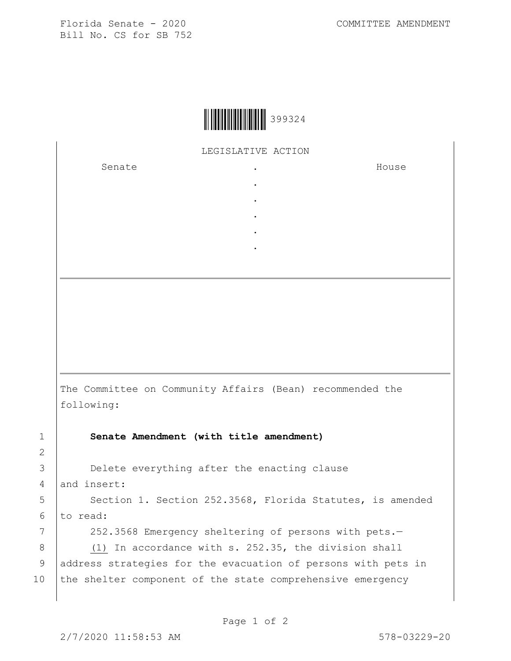Florida Senate - 2020 COMMITTEE AMENDMENT Bill No. CS for SB 752

LEGISLATIVE ACTION

. . . . .

Senate the senate of the senate of the senate of  $\cdot$ 

House

The Committee on Community Affairs (Bean) recommended the following:

1 **Senate Amendment (with title amendment)**

3 Delete everything after the enacting clause 4 and insert:

5 | Section 1. Section 252.3568, Florida Statutes, is amended  $6$  to read:

7 | 252.3568 Emergency sheltering of persons with pets.-

8 (1) In accordance with s. 252.35, the division shall 9 | address strategies for the evacuation of persons with pets in 10 the shelter component of the state comprehensive emergency

2